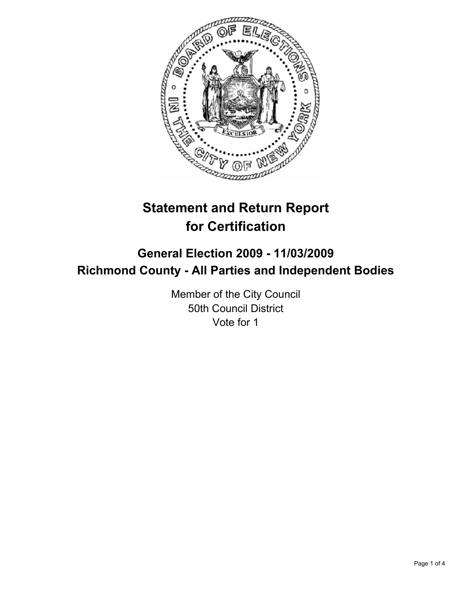

# **Statement and Return Report for Certification**

## **General Election 2009 - 11/03/2009 Richmond County - All Parties and Independent Bodies**

Member of the City Council 50th Council District Vote for 1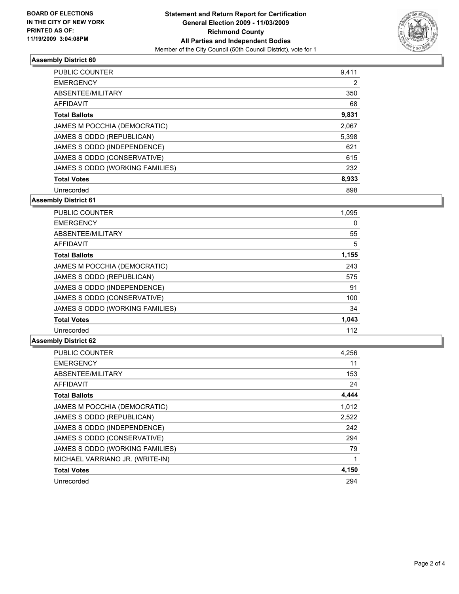

### **Assembly District 60**

| <b>PUBLIC COUNTER</b>           | 9,411 |
|---------------------------------|-------|
| <b>EMERGENCY</b>                | 2     |
| ABSENTEE/MILITARY               | 350   |
| AFFIDAVIT                       | 68    |
| <b>Total Ballots</b>            | 9,831 |
| JAMES M POCCHIA (DEMOCRATIC)    | 2,067 |
| JAMES S ODDO (REPUBLICAN)       | 5,398 |
| JAMES S ODDO (INDEPENDENCE)     | 621   |
| JAMES S ODDO (CONSERVATIVE)     | 615   |
| JAMES S ODDO (WORKING FAMILIES) | 232   |
| <b>Total Votes</b>              | 8,933 |
| Unrecorded                      | 898   |

**Assembly District 61**

| <b>PUBLIC COUNTER</b>           | 1,095 |
|---------------------------------|-------|
| <b>EMERGENCY</b>                | 0     |
| ABSENTEE/MILITARY               | 55    |
| <b>AFFIDAVIT</b>                | 5     |
| <b>Total Ballots</b>            | 1,155 |
| JAMES M POCCHIA (DEMOCRATIC)    | 243   |
| JAMES S ODDO (REPUBLICAN)       | 575   |
| JAMES S ODDO (INDEPENDENCE)     | 91    |
| JAMES S ODDO (CONSERVATIVE)     | 100   |
| JAMES S ODDO (WORKING FAMILIES) | 34    |
| <b>Total Votes</b>              | 1,043 |
| Unrecorded                      | 112   |

#### **Assembly District 62**

| <b>PUBLIC COUNTER</b>           | 4,256 |
|---------------------------------|-------|
| <b>EMERGENCY</b>                | 11    |
| ABSENTEE/MILITARY               | 153   |
| <b>AFFIDAVIT</b>                | 24    |
| <b>Total Ballots</b>            | 4,444 |
| JAMES M POCCHIA (DEMOCRATIC)    | 1,012 |
| JAMES S ODDO (REPUBLICAN)       | 2,522 |
| JAMES S ODDO (INDEPENDENCE)     | 242   |
| JAMES S ODDO (CONSERVATIVE)     | 294   |
| JAMES S ODDO (WORKING FAMILIES) | 79    |
| MICHAEL VARRIANO JR. (WRITE-IN) | 1     |
| <b>Total Votes</b>              | 4,150 |
| Unrecorded                      | 294   |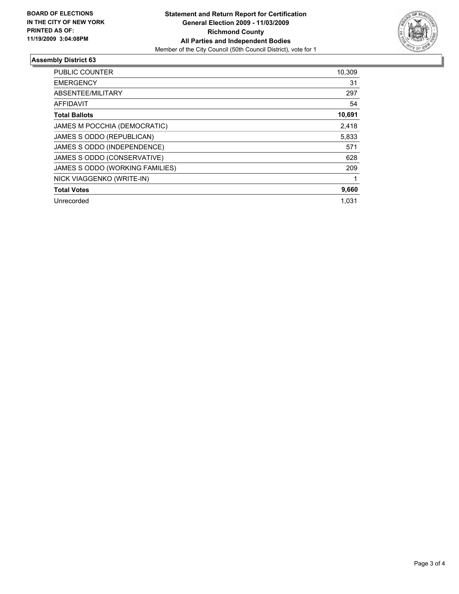

### **Assembly District 63**

| <b>PUBLIC COUNTER</b>           | 10,309 |
|---------------------------------|--------|
| <b>EMERGENCY</b>                | 31     |
| ABSENTEE/MILITARY               | 297    |
| <b>AFFIDAVIT</b>                | 54     |
| <b>Total Ballots</b>            | 10,691 |
| JAMES M POCCHIA (DEMOCRATIC)    | 2,418  |
| JAMES S ODDO (REPUBLICAN)       | 5,833  |
| JAMES S ODDO (INDEPENDENCE)     | 571    |
| JAMES S ODDO (CONSERVATIVE)     | 628    |
| JAMES S ODDO (WORKING FAMILIES) | 209    |
| NICK VIAGGENKO (WRITE-IN)       |        |
| <b>Total Votes</b>              | 9,660  |
| Unrecorded                      | 1.031  |